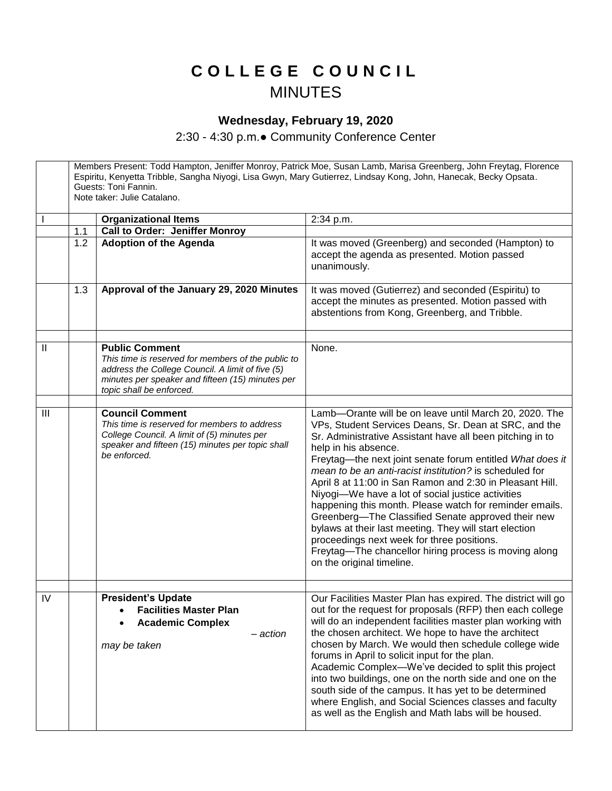## **C O L L E G E C O U N C I L** MINUTES

## **Wednesday, February 19, 2020**

2:30 - 4:30 p.m.● Community Conference Center

Members Present: Todd Hampton, Jeniffer Monroy, Patrick Moe, Susan Lamb, Marisa Greenberg, John Freytag, Florence Espiritu, Kenyetta Tribble, Sangha Niyogi, Lisa Gwyn, Mary Gutierrez, Lindsay Kong, John, Hanecak, Becky Opsata. Guests: Toni Fannin. Note taker: Julie Catalano. **Organizational Items** 2:34 p.m. 1.1 **Call to Order: Jeniffer Monroy** 1.2 **Adoption of the Agenda It was moved (Greenberg) and seconded (Hampton) to** accept the agenda as presented. Motion passed unanimously. 1.3 **Approval of the January 29, 2020 Minutes** It was moved (Gutierrez) and seconded (Espiritu) to accept the minutes as presented. Motion passed with abstentions from Kong, Greenberg, and Tribble. II **Public Comment** *This time is reserved for members of the public to address the College Council. A limit of five (5) minutes per speaker and fifteen (15) minutes per topic shall be enforced.*  None. III **Council Comment** *This time is reserved for members to address College Council. A limit of (5) minutes per speaker and fifteen (15) minutes per topic shall be enforced.* Lamb—Orante will be on leave until March 20, 2020. The VPs, Student Services Deans, Sr. Dean at SRC, and the Sr. Administrative Assistant have all been pitching in to help in his absence. Freytag—the next joint senate forum entitled *What does it mean to be an anti-racist institution?* is scheduled for April 8 at 11:00 in San Ramon and 2:30 in Pleasant Hill. Niyogi—We have a lot of social justice activities happening this month. Please watch for reminder emails. Greenberg—The Classified Senate approved their new bylaws at their last meeting. They will start election proceedings next week for three positions. Freytag—The chancellor hiring process is moving along on the original timeline. IV **President's Update Facilities Master Plan Academic Complex** – *action may be taken* Our Facilities Master Plan has expired. The district will go out for the request for proposals (RFP) then each college will do an independent facilities master plan working with the chosen architect. We hope to have the architect chosen by March. We would then schedule college wide forums in April to solicit input for the plan. Academic Complex—We've decided to split this project into two buildings, one on the north side and one on the south side of the campus. It has yet to be determined where English, and Social Sciences classes and faculty as well as the English and Math labs will be housed.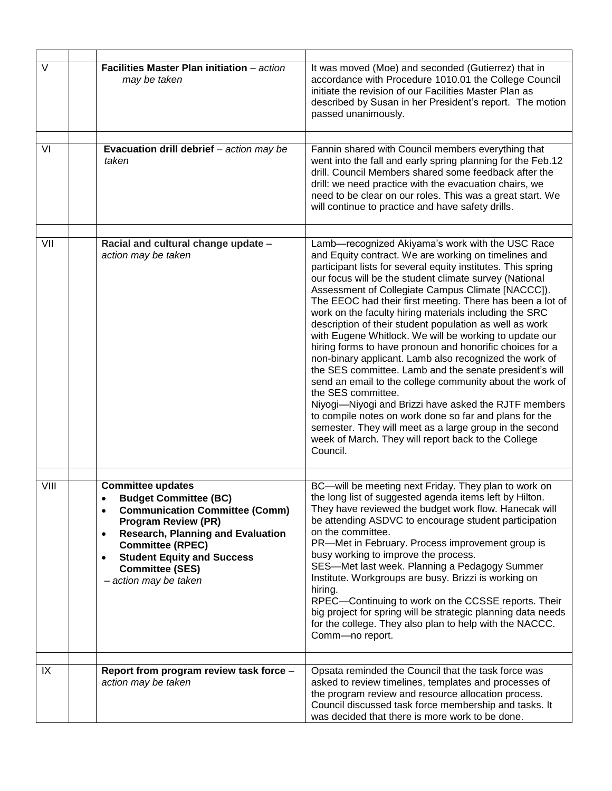| $\vee$ | Facilities Master Plan initiation - action<br>may be taken                                                                                                                                                                                                                                                                                         | It was moved (Moe) and seconded (Gutierrez) that in<br>accordance with Procedure 1010.01 the College Council<br>initiate the revision of our Facilities Master Plan as<br>described by Susan in her President's report. The motion<br>passed unanimously.                                                                                                                                                                                                                                                                                                                                                                                                                                                                                                                                                                                                                                                                                                                                                                                              |
|--------|----------------------------------------------------------------------------------------------------------------------------------------------------------------------------------------------------------------------------------------------------------------------------------------------------------------------------------------------------|--------------------------------------------------------------------------------------------------------------------------------------------------------------------------------------------------------------------------------------------------------------------------------------------------------------------------------------------------------------------------------------------------------------------------------------------------------------------------------------------------------------------------------------------------------------------------------------------------------------------------------------------------------------------------------------------------------------------------------------------------------------------------------------------------------------------------------------------------------------------------------------------------------------------------------------------------------------------------------------------------------------------------------------------------------|
|        |                                                                                                                                                                                                                                                                                                                                                    |                                                                                                                                                                                                                                                                                                                                                                                                                                                                                                                                                                                                                                                                                                                                                                                                                                                                                                                                                                                                                                                        |
| VI     | Evacuation drill debrief - action may be<br>taken                                                                                                                                                                                                                                                                                                  | Fannin shared with Council members everything that<br>went into the fall and early spring planning for the Feb.12<br>drill. Council Members shared some feedback after the<br>drill: we need practice with the evacuation chairs, we<br>need to be clear on our roles. This was a great start. We<br>will continue to practice and have safety drills.                                                                                                                                                                                                                                                                                                                                                                                                                                                                                                                                                                                                                                                                                                 |
|        |                                                                                                                                                                                                                                                                                                                                                    |                                                                                                                                                                                                                                                                                                                                                                                                                                                                                                                                                                                                                                                                                                                                                                                                                                                                                                                                                                                                                                                        |
| VII    | Racial and cultural change update -<br>action may be taken                                                                                                                                                                                                                                                                                         | Lamb-recognized Akiyama's work with the USC Race<br>and Equity contract. We are working on timelines and<br>participant lists for several equity institutes. This spring<br>our focus will be the student climate survey (National<br>Assessment of Collegiate Campus Climate [NACCC]).<br>The EEOC had their first meeting. There has been a lot of<br>work on the faculty hiring materials including the SRC<br>description of their student population as well as work<br>with Eugene Whitlock. We will be working to update our<br>hiring forms to have pronoun and honorific choices for a<br>non-binary applicant. Lamb also recognized the work of<br>the SES committee. Lamb and the senate president's will<br>send an email to the college community about the work of<br>the SES committee.<br>Niyogi-Niyogi and Brizzi have asked the RJTF members<br>to compile notes on work done so far and plans for the<br>semester. They will meet as a large group in the second<br>week of March. They will report back to the College<br>Council. |
|        |                                                                                                                                                                                                                                                                                                                                                    |                                                                                                                                                                                                                                                                                                                                                                                                                                                                                                                                                                                                                                                                                                                                                                                                                                                                                                                                                                                                                                                        |
| VIII   | <b>Committee updates</b><br><b>Budget Committee (BC)</b><br>$\bullet$<br><b>Communication Committee (Comm)</b><br>$\bullet$<br><b>Program Review (PR)</b><br><b>Research, Planning and Evaluation</b><br>$\bullet$<br><b>Committee (RPEC)</b><br><b>Student Equity and Success</b><br>$\bullet$<br><b>Committee (SES)</b><br>- action may be taken | BC-will be meeting next Friday. They plan to work on<br>the long list of suggested agenda items left by Hilton.<br>They have reviewed the budget work flow. Hanecak will<br>be attending ASDVC to encourage student participation<br>on the committee.<br>PR-Met in February. Process improvement group is<br>busy working to improve the process.<br>SES-Met last week. Planning a Pedagogy Summer<br>Institute. Workgroups are busy. Brizzi is working on<br>hiring.<br>RPEC-Continuing to work on the CCSSE reports. Their<br>big project for spring will be strategic planning data needs<br>for the college. They also plan to help with the NACCC.<br>Comm-no report.                                                                                                                                                                                                                                                                                                                                                                            |
|        |                                                                                                                                                                                                                                                                                                                                                    |                                                                                                                                                                                                                                                                                                                                                                                                                                                                                                                                                                                                                                                                                                                                                                                                                                                                                                                                                                                                                                                        |
| IX     | Report from program review task force -<br>action may be taken                                                                                                                                                                                                                                                                                     | Opsata reminded the Council that the task force was<br>asked to review timelines, templates and processes of<br>the program review and resource allocation process.<br>Council discussed task force membership and tasks. It<br>was decided that there is more work to be done.                                                                                                                                                                                                                                                                                                                                                                                                                                                                                                                                                                                                                                                                                                                                                                        |